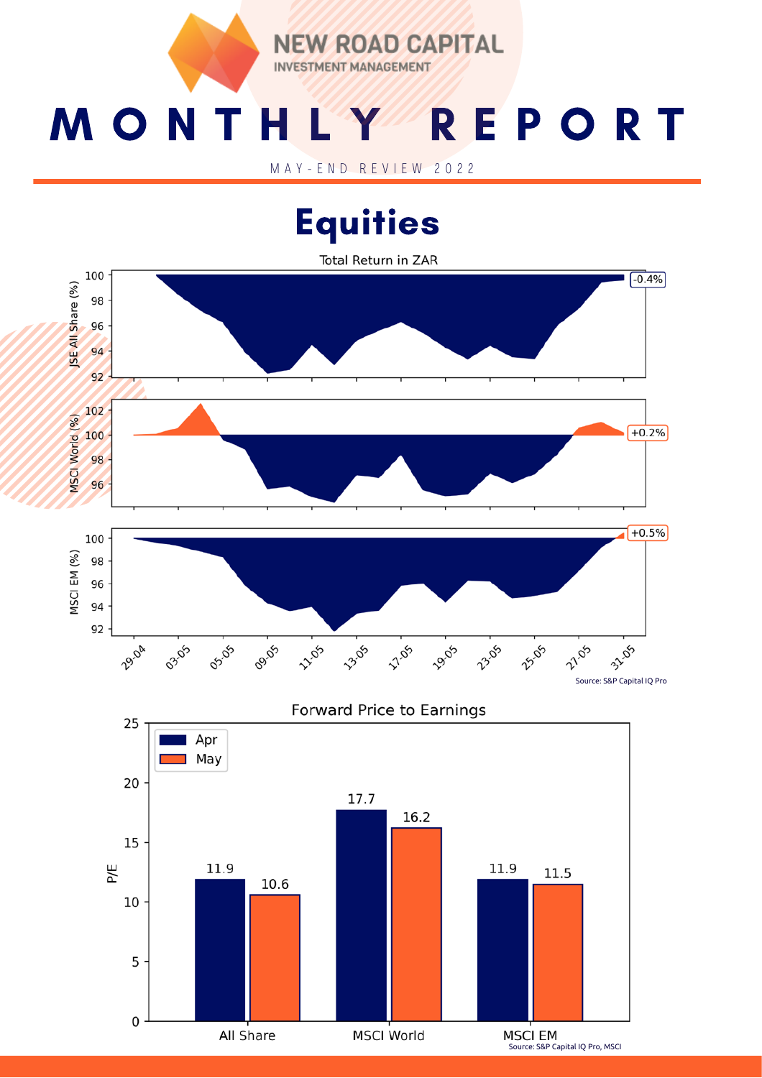**EW ROAD CAPITAL INVESTMENT MANAGEMENT** 

# M O N T H L Y R E P O R T

M A Y - E N D R E V I E W 2 0 2 2

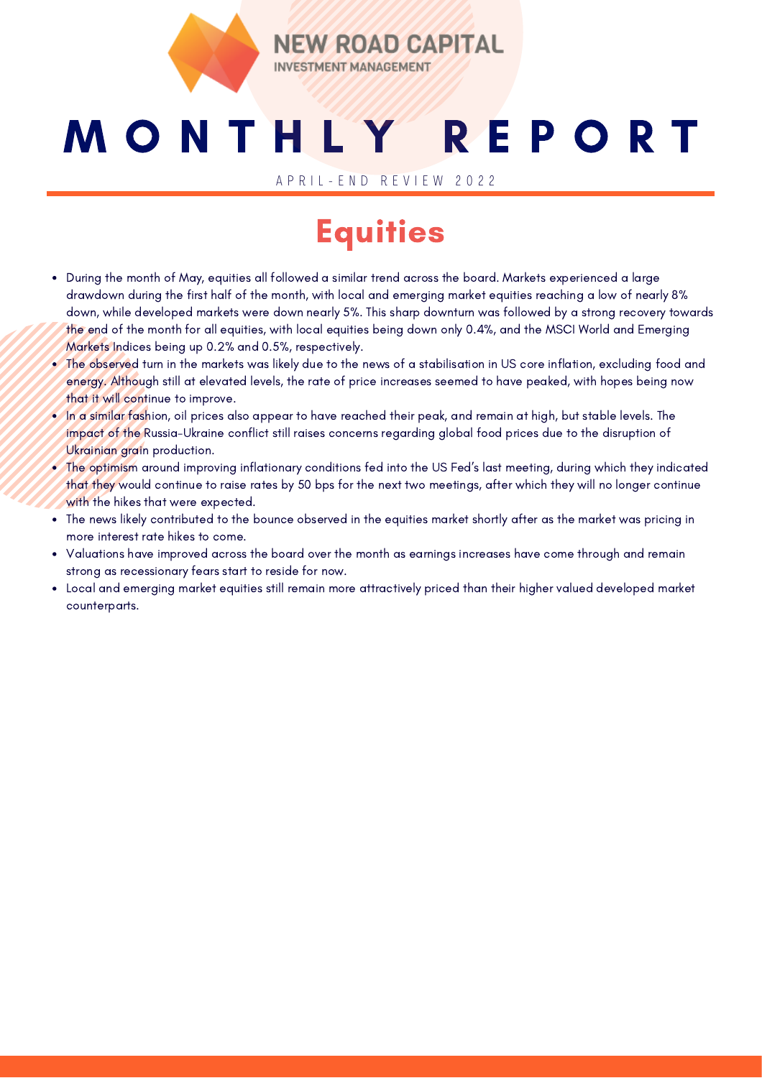

## M O N T H L Y R E P O R T

**ROAD CAPITAL** 

A P R I L - E N D R E V I E W 2 0 2 2

#### **Equities**

- During the month of May, equities all followed a similar trend across the board. Markets experienced a large drawdown during the first half of the month, with local and emerging market equities reaching a low of nearly 8% down, while developed markets were down nearly 5%. This sharp downturn was followed by a strong recovery towards the end of the month for all equities, with local equities being down only 0.4%, and the MSCI World and Emerging Markets Indices being up 0.2% and 0.5%, respectively.
- The observed turn in the markets was likely due to the news of a stabilisation in US core inflation, excluding food and energy. Although still at elevated levels, the rate of price increases seemed to have peaked, with hopes being now that it will continue to improve.
- In a similar fashion, oil prices also appear to have reached their peak, and remain at high, but stable levels. The impact of the Russia-Ukraine conflict still raises concerns regarding global food prices due to the disruption of Ukrainian grain production.
- The optimism around improving inflationary conditions fed into the US Fed's last meeting, during which they indicated that they would continue to raise rates by 50 bps for the next two meetings, after which they will no longer continue with the hikes that were expected.
- The news likely contributed to the bounce observed in the equities market shortly after as the market was pricing in more interest rate hikes to come.
- Valuations have improved across the board over the month as earnings increases have come through and remain strong as recessionary fears start to reside for now.
- Local and emerging market equities still remain more attractively priced than their higher valued developed market counterparts.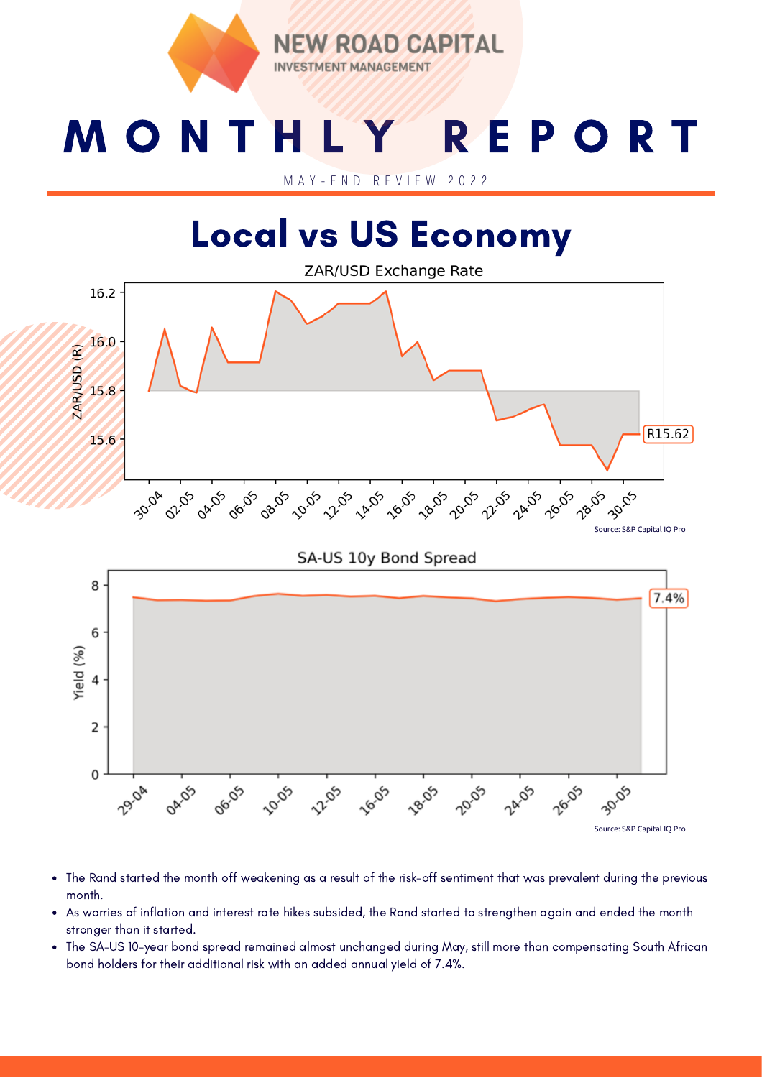ROAD CAPITAL **INV ESTMENT MANAGEMENT** 

### M O N T H L Y R E P O R T

M A Y - E N D R E V I E W 2 0 2 2

#### Local vs US Economy



- The Rand started the month off weakening as a result of the risk-off sentiment that was prevalent during the previous month.
- As worries of inflation and interest rate hikes subsided, the Rand started to strengthen again and ended the month stronger than it started.
- The SA-US 10-year bond spread remained almost unchanged during May, still more than compensating South African bond holders for their additional risk with an added annual yield of 7.4%.